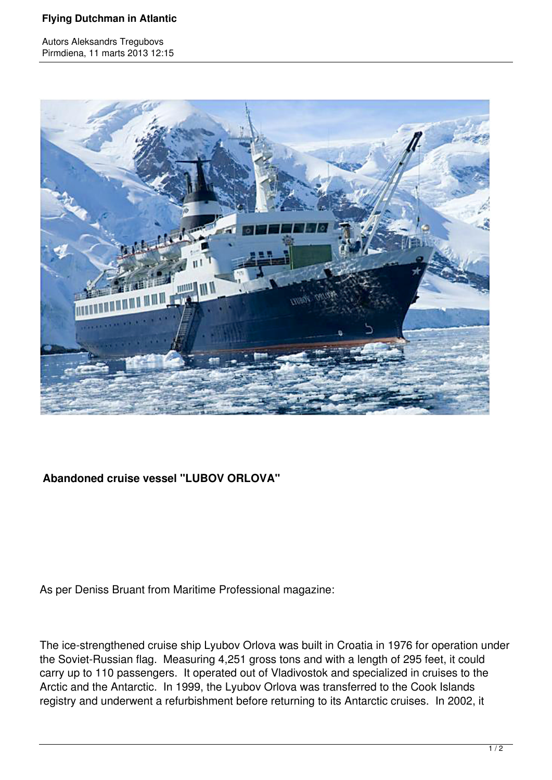## **Flying Dutchman in Atlantic**

Autors Aleksandrs Tregubovs Pirmdiena, 11 marts 2013 12:15



## **Abandoned cruise vessel "LUBOV ORLOVA"**

As per Deniss Bruant from Maritime Professional magazine:

The ice-strengthened cruise ship Lyubov Orlova was built in Croatia in 1976 for operation under the Soviet-Russian flag. Measuring 4,251 gross tons and with a length of 295 feet, it could carry up to 110 passengers. It operated out of Vladivostok and specialized in cruises to the Arctic and the Antarctic. In 1999, the Lyubov Orlova was transferred to the Cook Islands registry and underwent a refurbishment before returning to its Antarctic cruises. In 2002, it